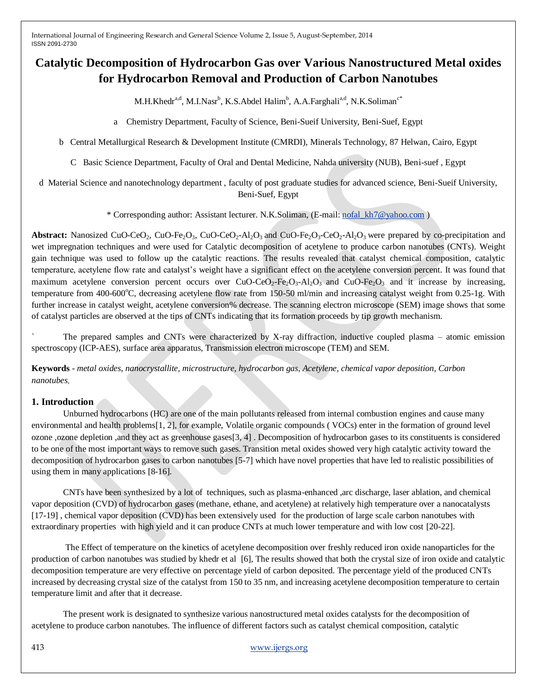# **Catalytic Decomposition of Hydrocarbon Gas over Various Nanostructured Metal oxides for Hydrocarbon Removal and Production of Carbon Nanotubes**

 $M.H.Khedr<sup>a,d</sup>, M.I.Nasr<sup>b</sup>, K.S.A bdel Halim<sup>b</sup>, A.A.Farghali<sup>a,d</sup>, N.K.Soliman<sup>c*</sup>$ 

a Chemistry Department, Faculty of Science, Beni-Sueif University, Beni-Suef, Egypt

b Central Metallurgical Research & Development Institute (CMRDI), Minerals Technology, 87 Helwan, Cairo, Egypt

C Basic Science Department, Faculty of Oral and Dental Medicine, Nahda university (NUB), Beni-suef , Egypt

d Material Science and nanotechnology department , faculty of post graduate studies for advanced science, Beni-Sueif University, Beni-Suef, Egypt

\* Corresponding author: Assistant lecturer. N.K.Soliman, (E-mail[: nofal\\_kh7@yahoo.com](mailto:nofal_kh7@yahoo.com) )

**Abstract:** Nanosized CuO-CeO<sub>2</sub>, CuO-Fe<sub>2</sub>O<sub>3</sub>, CuO-CeO<sub>2</sub>-Al<sub>2</sub>O<sub>3</sub> and CuO-Fe<sub>2</sub>O<sub>3</sub>-CeO<sub>2</sub>-Al<sub>2</sub>O<sub>3</sub> were prepared by co-precipitation and wet impregnation techniques and were used for Catalytic decomposition of acetylene to produce carbon nanotubes (CNTs). Weight gain technique was used to follow up the catalytic reactions. The results revealed that catalyst chemical composition, catalytic temperature, acetylene flow rate and catalyst's weight have a significant effect on the acetylene conversion percent. It was found that maximum acetylene conversion percent occurs over  $CuO$ -CeO<sub>2</sub>-Fe<sub>2</sub>O<sub>3</sub>-Al<sub>2</sub>O<sub>3</sub> and CuO-Fe<sub>2</sub>O<sub>3</sub> and it increase by increasing, temperature from 400-600 $^{\circ}$ C, decreasing acetylene flow rate from 150-50 ml/min and increasing catalyst weight from 0.25-1g. With further increase in catalyst weight, acetylene conversion% decrease. The scanning electron microscope (SEM) image shows that some of catalyst particles are observed at the tips of CNTs indicating that its formation proceeds by tip growth mechanism.

The prepared samples and CNTs were characterized by X-ray diffraction, inductive coupled plasma – atomic emission spectroscopy (ICP-AES), surface area apparatus, Transmission electron microscope (TEM) and SEM.

**Keywords** *- metal oxides, nanocrystallite, microstructure, hydrocarbon gas, Acetylene, chemical vapor deposition, Carbon nanotubes,*

# **1. Introduction**

Unburned hydrocarbons (HC) are one of the main pollutants released from internal combustion engines and cause many environmental and health problems[1, 2], for example, Volatile organic compounds ( VOCs) enter in the formation of ground level ozone ,ozone depletion ,and they act as greenhouse gases[3, 4] . Decomposition of hydrocarbon gases to its constituents is considered to be one of the most important ways to remove such gases. Transition metal oxides showed very high catalytic activity toward the decomposition of hydrocarbon gases to carbon nanotubes [5-7] which have novel properties that have led to realistic possibilities of using them in many applications [8-16].

CNTs have been synthesized by a lot of techniques, such as plasma-enhanced ,arc discharge, laser ablation, and chemical vapor deposition (CVD) of hydrocarbon gases (methane, ethane, and acetylene) at relatively high temperature over a nanocatalysts [17-19] , chemical vapor deposition (CVD) has been extensively used for the production of large scale carbon nanotubes with extraordinary properties with high yield and it can produce CNTs at much lower temperature and with low cost [20-22].

The Effect of temperature on the kinetics of acetylene decomposition over freshly reduced iron oxide nanoparticles for the production of carbon nanotubes was studied by khedr et al [6], The results showed that both the crystal size of iron oxide and catalytic decomposition temperature are very effective on percentage yield of carbon deposited. The percentage yield of the produced CNTs increased by decreasing crystal size of the catalyst from 150 to 35 nm, and increasing acetylene decomposition temperature to certain temperature limit and after that it decrease.

The present work is designated to synthesize various nanostructured metal oxides catalysts for the decomposition of acetylene to produce carbon nanotubes. The influence of different factors such as catalyst chemical composition, catalytic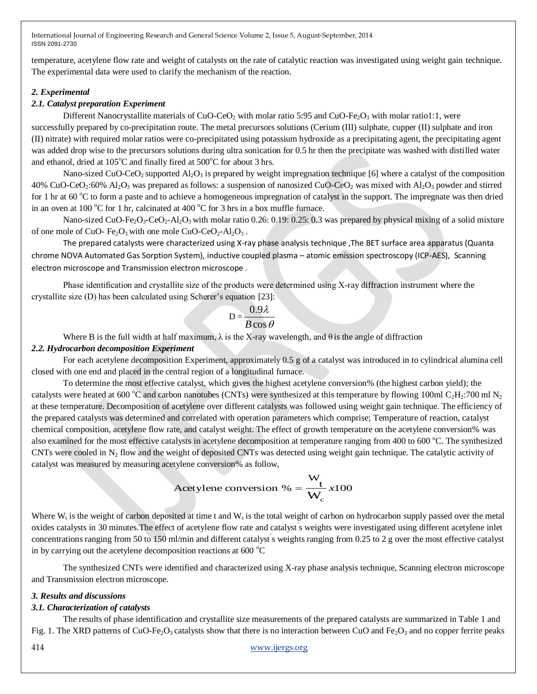temperature, acetylene flow rate and weight of catalysts on the rate of catalytic reaction was investigated using weight gain technique. The experimental data were used to clarify the mechanism of the reaction.

## *2. Experimental*

# *2.1. Catalyst preparation Experiment*

Different Nanocrystallite materials of CuO-CeO<sub>2</sub> with molar ratio 5:95 and CuO-Fe<sub>2</sub>O<sub>3</sub> with molar ratio1:1, were successfully prepared by co-precipitation route. The metal precursors solutions (Cerium (III) sulphate, cupper (II) sulphate and iron (II) nitrate) with required molar ratios were co-precipitated using potassium hydroxide as a precipitating agent, the precipitating agent was added drop wise to the precursors solutions during ultra sonication for 0.5 hr then the precipitate was washed with distilled water and ethanol, dried at  $105^{\circ}$ C and finally fired at  $500^{\circ}$ C for about 3 hrs.

Nano-sized CuO-CeO<sub>2</sub> supported  $A_1O_3$  is prepared by weight impregnation technique [6] where a catalyst of the composition 40% CuO-CeO<sub>2</sub>:60% Al<sub>2</sub>O<sub>3</sub> was prepared as follows: a suspension of nanosized CuO-CeO<sub>2</sub> was mixed with Al<sub>2</sub>O<sub>3</sub> powder and stirred for 1 hr at 60  $^{\circ}$ C to form a paste and to achieve a homogeneous impregnation of catalyst in the support. The impregnate was then dried in an oven at 100  $^{\circ}$ C for 1 hr, calcinated at 400  $^{\circ}$ C for 3 hrs in a box muffle furnace.

Nano-sized CuO-Fe<sub>2</sub>O<sub>3</sub>-CeO<sub>2</sub>-Al<sub>2</sub>O<sub>3</sub> with molar ratio 0.26: 0.19: 0.25: 0.3 was prepared by physical mixing of a solid mixture of one mole of CuO-  $Fe<sub>2</sub>O<sub>3</sub>$  with one mole CuO-CeO<sub>2</sub>-Al<sub>2</sub>O<sub>3</sub>.

The prepared catalysts were characterized using X-ray phase analysis technique ,The BET surface area apparatus (Quanta chrome NOVA Automated Gas Sorption System), inductive coupled plasma – atomic emission spectroscopy (ICP-AES), Scanning electron microscope and Transmission electron microscope .

Phase identification and crystallite size of the products were determined using X-ray diffraction instrument where the crystallite size (D) has been calculated using Scherer's equation [23]:

$$
D = \frac{0.9\lambda}{B\cos\theta}
$$

Where B is the full width at half maximum,  $\lambda$  is the X-ray wavelength, and  $\theta$  is the angle of diffraction

## *2.2. Hydrocarbon decomposition Experiment*

For each acetylene decomposition Experiment, approximately 0.5 g of a catalyst was introduced in to cylindrical alumina cell closed with one end and placed in the central region of a longitudinal furnace.

To determine the most effective catalyst, which gives the highest acetylene conversion% (the highest carbon yield); the catalysts were heated at 600 °C and carbon nanotubes (CNTs) were synthesized at this temperature by flowing 100ml C<sub>2</sub>H<sub>2</sub>:700 ml N<sub>2</sub> at these temperature. Decomposition of acetylene over different catalysts was followed using weight gain technique. The efficiency of the prepared catalysts was determined and correlated with operation parameters which comprise; Temperature of reaction, catalyst chemical composition, acetylene flow rate, and catalyst weight. The effect of growth temperature on the acetylene conversion% was also examined for the most effective catalysts in acetylene decomposition at temperature ranging from 400 to 600 °C. The synthesized CNTs were cooled in  $N_2$  flow and the weight of deposited CNTs was detected using weight gain technique. The catalytic activity of catalyst was measured by measuring acetylene conversion% as follow,

Acetylene conversion % = 
$$
\frac{W_t}{W_c} x100
$$

Where  $W_t$  is the weight of carbon deposited at time t and  $W_c$  is the total weight of carbon on hydrocarbon supply passed over the metal oxides catalysts in 30 minutes.The effect of acetylene flow rate and catalyst' s weights were investigated using different acetylene inlet concentrations ranging from 50 to 150 ml/min and different catalyst' s weights ranging from 0.25 to 2 g over the most effective catalyst in by carrying out the acetylene decomposition reactions at 600  $^{\circ}$ C

The synthesized CNTs were identified and characterized using X-ray phase analysis technique, Scanning electron microscope and Transmission electron microscope.

# *3. Results and discussions*

# *3.1. Characterization of catalysts*

The results of phase identification and crystallite size measurements of the prepared catalysts are summarized in Table 1 and Fig. 1. The XRD patterns of CuO-Fe<sub>2</sub>O<sub>3</sub> catalysts show that there is no interaction between CuO and Fe<sub>2</sub>O<sub>3</sub> and no copper ferrite peaks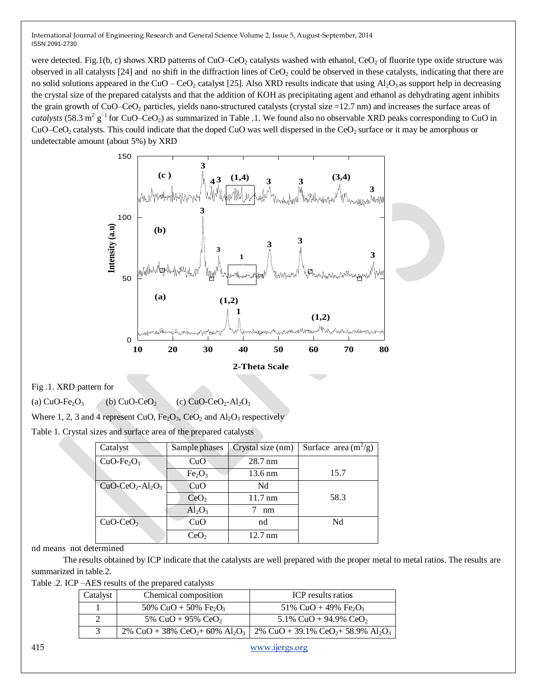were detected. Fig.1(b, c) shows XRD patterns of  $CuO$ – $CeO<sub>2</sub>$  catalysts washed with ethanol,  $CeO<sub>2</sub>$  of fluorite type oxide structure was observed in all catalysts [24] and no shift in the diffraction lines of  $CeO<sub>2</sub>$  could be observed in these catalysts, indicating that there are no solid solutions appeared in the CuO – CeO<sub>2</sub> catalyst [25]. Also XRD results indicate that using  $Al_2O_3$  as support help in decreasing the crystal size of the prepared catalysts and that the addition of KOH as precipitating agent and ethanol as dehydrating agent inhibits the grain growth of CuO–CeO<sub>2</sub> particles, yields nano-structured catalysts (crystal size  $=12.7$  nm) and increases the surface areas of *catalysts* (58.3 m<sup>2</sup> g<sup>-1</sup> for CuO–CeO<sub>2</sub>) as summarized in Table .1. We found also no observable XRD peaks corresponding to CuO in CuO–CeO<sub>2</sub> catalysts. This could indicate that the doped CuO was well dispersed in the CeO<sub>2</sub> surface or it may be amorphous or undetectable amount (about 5%) by XRD



Fig .1. XRD pattern for

(a)  $CuO-Fe<sub>2</sub>O<sub>3</sub>$  (b)  $CuO-CeO<sub>2</sub>$  (c)  $CuO-CeO<sub>2</sub>-Al<sub>2</sub>O<sub>3</sub>$ 

Where 1, 2, 3 and 4 represent CuO,  $Fe<sub>2</sub>O<sub>3</sub>$ , CeO<sub>2</sub> and Al<sub>2</sub>O<sub>3</sub> respectively

Table 1. Crystal sizes and surface area of the prepared catalysts

| Catalyst         | Sample phases                  | Crystal size (nm) | Surface area $(m^2/g)$ |
|------------------|--------------------------------|-------------------|------------------------|
| $CuO-Fe2O3$      | CuO                            | $28.7 \text{ nm}$ |                        |
|                  | Fe <sub>2</sub> O <sub>3</sub> | $13.6 \text{ nm}$ | 15.7                   |
| $CuO-CeO2-Al2O3$ | CuO                            | Nd                |                        |
|                  | CeO <sub>2</sub>               | $11.7 \text{ nm}$ | 58.3                   |
|                  | $Al_2O_3$                      | nm                |                        |
| $CuO-CeO2$       | CuO                            | nd                | Nd                     |
|                  | CeO <sub>2</sub>               | $12.7 \text{ nm}$ |                        |

nd means not determined

The results obtained by ICP indicate that the catalysts are well prepared with the proper metal to metal ratios. The results are summarized in table.2.

Table .2. ICP –AES results of the prepared catalysts

| Catalyst | Chemical composition                         | ICP results ratios                                                                                                                          |
|----------|----------------------------------------------|---------------------------------------------------------------------------------------------------------------------------------------------|
|          | 50% CuO + 50% Fe <sub>2</sub> O <sub>3</sub> | 51% CuO + 49% Fe <sub>2</sub> O <sub>3</sub>                                                                                                |
|          | 5% CuO + 95% CeO <sub>2</sub>                | 5.1% CuO + 94.9% CeO <sub>2</sub>                                                                                                           |
|          |                                              | 2% CuO + 38% CeO <sub>2</sub> + 60% Al <sub>2</sub> O <sub>3</sub>   2% CuO + 39.1% CeO <sub>2</sub> + 58.9% Al <sub>2</sub> O <sub>3</sub> |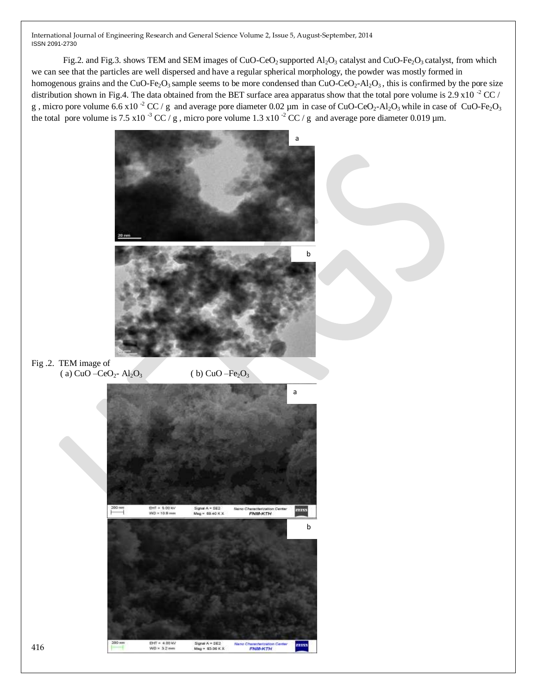Fig.2. and Fig.3. shows TEM and SEM images of CuO-CeO<sub>2</sub> supported  $AI_2O_3$  catalyst and CuO-Fe<sub>2</sub>O<sub>3</sub> catalyst, from which we can see that the particles are well dispersed and have a regular spherical morphology, the powder was mostly formed in homogenous grains and the CuO-Fe<sub>2</sub>O<sub>3</sub> sample seems to be more condensed than CuO-CeO<sub>2</sub>-Al<sub>2</sub>O<sub>3</sub>, this is confirmed by the pore size distribution shown in Fig.4. The data obtained from the BET surface area apparatus show that the total pore volume is  $2.9 \times 10^{-2}$  CC / g, micro pore volume 6.6 x10<sup>-2</sup> CC / g and average pore diameter 0.02  $\mu$ m in case of CuO-CeO<sub>2</sub>-Al<sub>2</sub>O<sub>3</sub> while in case of CuO-Fe<sub>2</sub>O<sub>3</sub> the total pore volume is 7.5 x10  $3 \text{ CC}$  / g, micro pore volume 1.3 x10  $3 \text{ CC}$  / g and average pore diameter 0.019 µm.

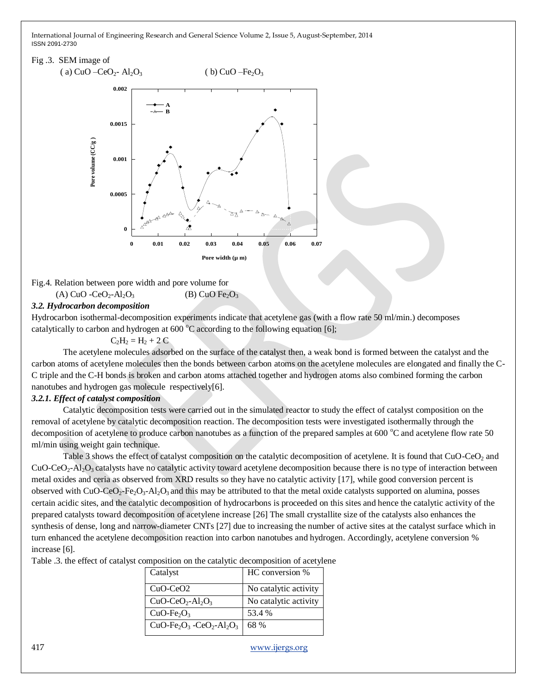## Fig .3. SEM image of



Fig.4. Relation between pore width and pore volume for (A) CuO  $-CeO<sub>2</sub>$ -Al<sub>2</sub>O<sub>3</sub> (B) CuO Fe<sub>2</sub>O<sub>3</sub>

## *3.2. Hydrocarbon decomposition*

Hydrocarbon isothermal-decomposition experiments indicate that acetylene gas (with a flow rate 50 ml/min.) decomposes catalytically to carbon and hydrogen at  $600^{\circ}$ C according to the following equation [6];

 $C_2H_2 = H_2 + 2C$ 

The acetylene molecules adsorbed on the surface of the catalyst then, a weak bond is formed between the catalyst and the carbon atoms of acetylene molecules then the bonds between carbon atoms on the acetylene molecules are elongated and finally the C-C triple and the C-H bonds is broken and carbon atoms attached together and hydrogen atoms also combined forming the carbon nanotubes and hydrogen gas molecule respectively[6].

## *3.2.1. Effect of catalyst composition*

Catalytic decomposition tests were carried out in the simulated reactor to study the effect of catalyst composition on the removal of acetylene by catalytic decomposition reaction. The decomposition tests were investigated isothermally through the decomposition of acetylene to produce carbon nanotubes as a function of the prepared samples at 600  $^{\circ}$ C and acetylene flow rate 50 ml/min using weight gain technique.

Table 3 shows the effect of catalyst composition on the catalytic decomposition of acetylene. It is found that CuO-CeO<sub>2</sub> and  $CuO-CeO<sub>2</sub>-Al<sub>2</sub>O<sub>3</sub>$  catalysts have no catalytic activity toward acetylene decomposition because there is no type of interaction between metal oxides and ceria as observed from XRD results so they have no catalytic activity [17], while good conversion percent is observed with CuO-CeO<sub>2</sub>-Fe<sub>2</sub>O<sub>3</sub>-Al<sub>2</sub>O<sub>3</sub> and this may be attributed to that the metal oxide catalysts supported on alumina, posses certain acidic sites, and the catalytic decomposition of hydrocarbons is proceeded on this sites and hence the catalytic activity of the prepared catalysts toward decomposition of acetylene increase [26] The small crystallite size of the catalysts also enhances the synthesis of dense, long and narrow-diameter CNTs [27] due to increasing the number of active sites at the catalyst surface which in turn enhanced the acetylene decomposition reaction into carbon nanotubes and hydrogen. Accordingly, acetylene conversion % increase [6].

Table .3. the effect of catalyst composition on the catalytic decomposition of acetylene

| Catalyst                 | HC conversion %       |
|--------------------------|-----------------------|
| $CuO-CeO2$               | No catalytic activity |
| $CuO-CeO2-Al2O3$         | No catalytic activity |
| $CuO-Fe2O3$              | 53.4 %                |
| $CuO-Fe2O3 - CeO2-Al2O3$ | 68 %                  |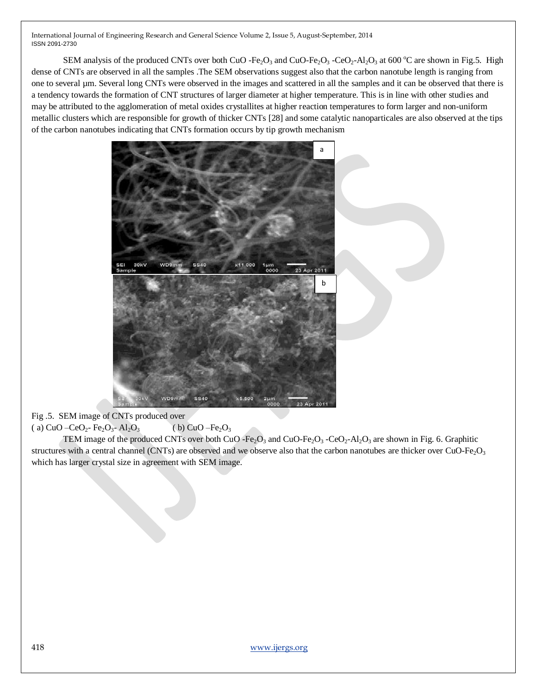SEM analysis of the produced CNTs over both CuO -Fe<sub>2</sub>O<sub>3</sub> and CuO-Fe<sub>2</sub>O<sub>3</sub> -CeO<sub>2</sub>-Al<sub>2</sub>O<sub>3</sub> at 600 °C are shown in Fig.5. High dense of CNTs are observed in all the samples .The SEM observations suggest also that the carbon nanotube length is ranging from one to several µm. Several long CNTs were observed in the images and scattered in all the samples and it can be observed that there is a tendency towards the formation of CNT structures of larger diameter at higher temperature. This is in line with other studies and may be attributed to the agglomeration of metal oxides crystallites at higher reaction temperatures to form larger and non-uniform metallic clusters which are responsible for growth of thicker CNTs [28] and some catalytic nanoparticales are also observed at the tips of the carbon nanotubes indicating that CNTs formation occurs by tip growth mechanism



Fig .5. SEM image of CNTs produced over ( a)  $CuO - CeO<sub>2</sub> - Fe<sub>2</sub>O<sub>3</sub> - Al<sub>2</sub>O<sub>3</sub>$  ( b)  $CuO - Fe<sub>2</sub>O<sub>3</sub>$ 

TEM image of the produced CNTs over both CuO -Fe<sub>2</sub>O<sub>3</sub> and CuO-Fe<sub>2</sub>O<sub>3</sub> -CeO<sub>2</sub>-Al<sub>2</sub>O<sub>3</sub> are shown in Fig. 6. Graphitic structures with a central channel (CNTs) are observed and we observe also that the carbon nanotubes are thicker over CuO-Fe<sub>2</sub>O<sub>3</sub> which has larger crystal size in agreement with SEM image.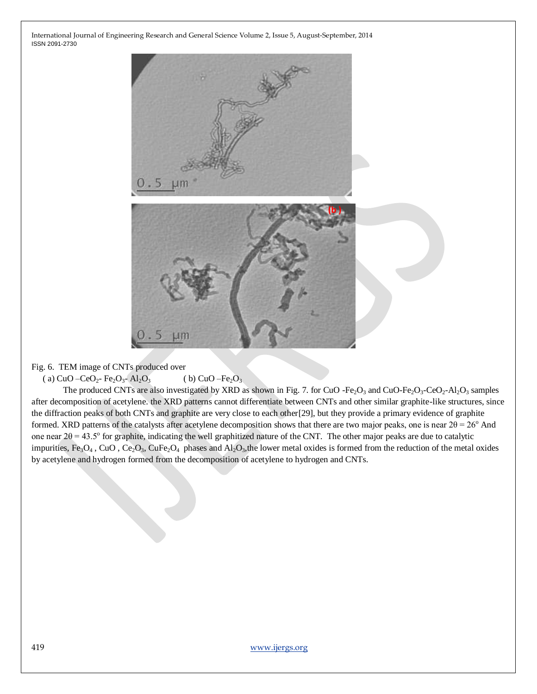

Fig. 6. TEM image of CNTs produced over

( a) CuO –CeO<sub>2</sub>- Fe<sub>2</sub>O<sub>3</sub>- Al<sub>2</sub>O<sub>3</sub> ( b) CuO –Fe<sub>2</sub>O<sub>3</sub>

The produced CNTs are also investigated by XRD as shown in Fig. 7. for CuO -Fe<sub>2</sub>O<sub>3</sub> and CuO-Fe<sub>2</sub>O<sub>3</sub>-CeO<sub>2</sub>-Al<sub>2</sub>O<sub>3</sub> samples after decomposition of acetylene. the XRD patterns cannot differentiate between CNTs and other similar graphite-like structures, since the diffraction peaks of both CNTs and graphite are very close to each other[29], but they provide a primary evidence of graphite formed. XRD patterns of the catalysts after acetylene decomposition shows that there are two major peaks, one is near  $2\theta = 26^{\circ}$  And one near  $2\theta = 43.5^{\circ}$  for graphite, indicating the well graphitized nature of the CNT. The other major peaks are due to catalytic impurities, Fe<sub>3</sub>O<sub>4</sub>, CuO, Ce<sub>2</sub>O<sub>3</sub>, CuFe<sub>2</sub>O<sub>4</sub> phases and Al<sub>2</sub>O<sub>3</sub>, the lower metal oxides is formed from the reduction of the metal oxides by acetylene and hydrogen formed from the decomposition of acetylene to hydrogen and CNTs.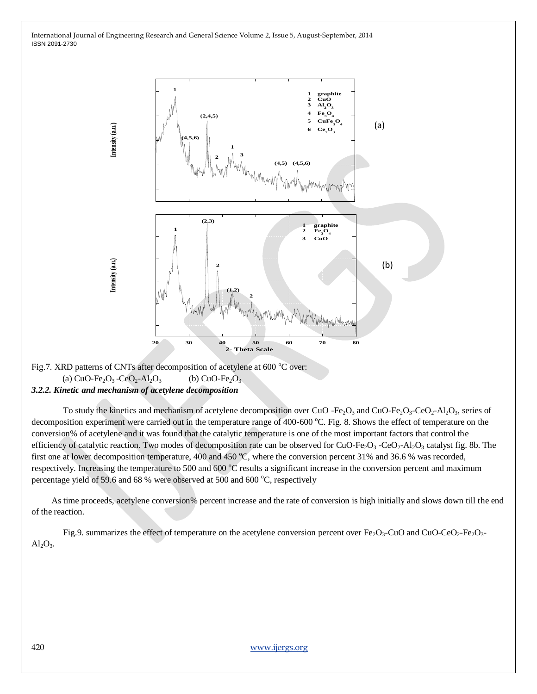

Fig.7. XRD patterns of CNTs after decomposition of acetylene at 600  $^{\circ}$ C over: (a)  $CuO-Fe<sub>2</sub>O<sub>3</sub> - CeO<sub>2</sub>-Al<sub>2</sub>O<sub>3</sub>$  (b)  $CuO-Fe<sub>2</sub>O<sub>3</sub>$ 

# *3.2.2. Kinetic and mechanism of acetylene decomposition*

To study the kinetics and mechanism of acetylene decomposition over CuO -Fe $_2O_3$  and CuO-Fe $_2O_3$ -CeO $_2$ -Al $_2O_3$ , series of decomposition experiment were carried out in the temperature range of 400-600 °C. Fig. 8. Shows the effect of temperature on the conversion% of acetylene and it was found that the catalytic temperature is one of the most important factors that control the efficiency of catalytic reaction. Two modes of decomposition rate can be observed for  $CuO\text{-Fe}_2O_3$  -CeO<sub>2</sub>-Al<sub>2</sub>O<sub>3</sub> catalyst fig. 8b. The first one at lower decomposition temperature, 400 and 450  $^{\circ}$ C, where the conversion percent 31% and 36.6 % was recorded, respectively. Increasing the temperature to 500 and 600 °C results a significant increase in the conversion percent and maximum percentage yield of 59.6 and 68 % were observed at 500 and 600  $^{\circ}$ C, respectively

 As time proceeds, acetylene conversion% percent increase and the rate of conversion is high initially and slows down till the end of the reaction.

Fig.9. summarizes the effect of temperature on the acetylene conversion percent over  $Fe<sub>2</sub>O<sub>3</sub>-CuO$  and CuO-CeO<sub>2</sub>-Fe<sub>2</sub>O<sub>3</sub>- $Al<sub>2</sub>O<sub>3</sub>$ .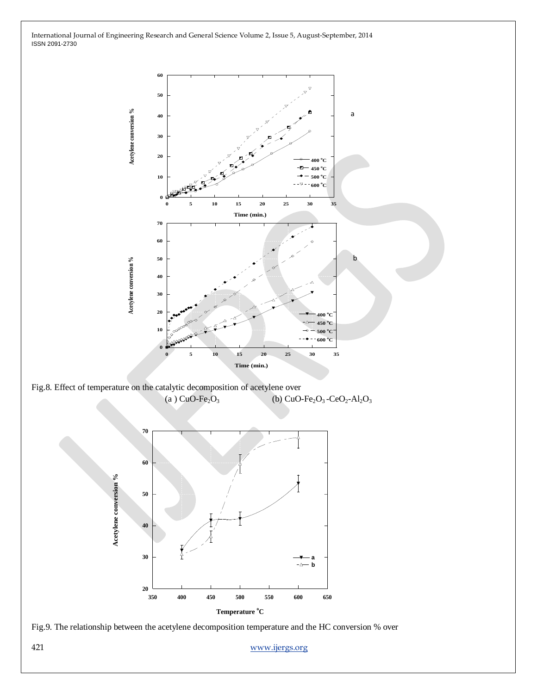



**400 450 500 550 600 650**

**Temperature <sup>o</sup>C**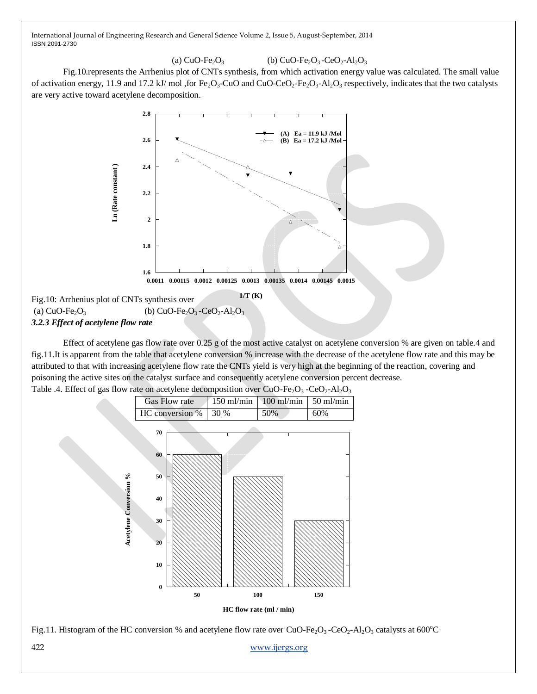#### (a)  $CuO-Fe<sub>2</sub>O<sub>3</sub>$  (b)  $CuO-Fe<sub>2</sub>O<sub>3</sub>-CeO<sub>2</sub>-Al<sub>2</sub>O<sub>3</sub>$

Fig.10.represents the Arrhenius plot of CNTs synthesis, from which activation energy value was calculated. The small value of activation energy, 11.9 and 17.2 kJ/ mol ,for Fe<sub>2</sub>O<sub>3</sub>-CuO and CuO-CeO<sub>2</sub>-Fe<sub>2</sub>O<sub>3</sub>-Al<sub>2</sub>O<sub>3</sub> respectively, indicates that the two catalysts are very active toward acetylene decomposition.



Effect of acetylene gas flow rate over 0.25 g of the most active catalyst on acetylene conversion % are given on table.4 and fig.11.It is apparent from the table that acetylene conversion % increase with the decrease of the acetylene flow rate and this may be attributed to that with increasing acetylene flow rate the CNTs yield is very high at the beginning of the reaction, covering and poisoning the active sites on the catalyst surface and consequently acetylene conversion percent decrease.



Table .4. Effect of gas flow rate on acetylene decomposition over  $CuO-Fe<sub>2</sub>O<sub>3</sub> -CeO<sub>2</sub>-Al<sub>2</sub>O<sub>3</sub>$ 

Fig.11. Histogram of the HC conversion % and acetylene flow rate over CuO-Fe<sub>2</sub>O<sub>3</sub> -CeO<sub>2</sub>-Al<sub>2</sub>O<sub>3</sub> catalysts at 600<sup>o</sup>C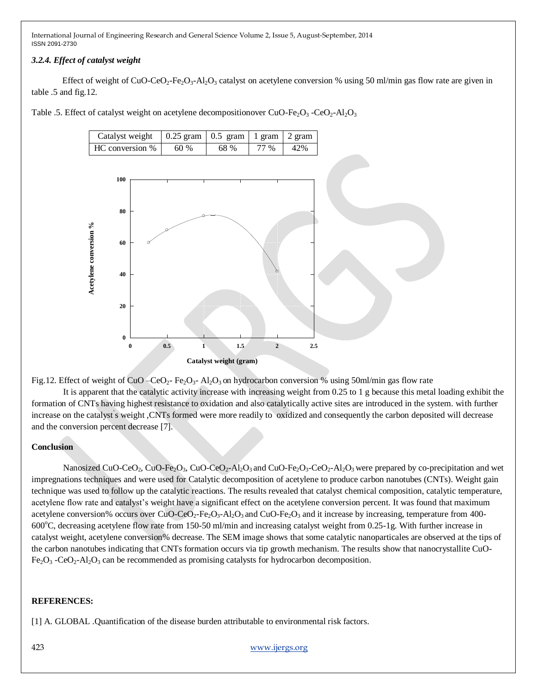## *3.2.4. Effect of catalyst weight*

Effect of weight of CuO-CeO<sub>2</sub>-Fe<sub>2</sub>O<sub>3</sub>-Al<sub>2</sub>O<sub>3</sub> catalyst on acetylene conversion % using 50 ml/min gas flow rate are given in table .5 and fig.12.

Table .5. Effect of catalyst weight on acetylene decompositionover CuO-Fe<sub>2</sub>O<sub>3</sub> -CeO<sub>2</sub>-Al<sub>2</sub>O<sub>3</sub>



Fig.12. Effect of weight of CuO –CeO<sub>2</sub>- Fe<sub>2</sub>O<sub>3</sub>- Al<sub>2</sub>O<sub>3</sub> on hydrocarbon conversion % using 50ml/min gas flow rate

It is apparent that the catalytic activity increase with increasing weight from 0.25 to 1 g because this metal loading exhibit the formation of CNTs having highest resistance to oxidation and also catalytically active sites are introduced in the system. with further increase on the catalyst' s weight ,CNTs formed were more readily to oxidized and consequently the carbon deposited will decrease and the conversion percent decrease [7].

## **Conclusion**

Nanosized CuO-CeO<sub>2</sub>, CuO-Fe<sub>2</sub>O<sub>3</sub>, CuO-CeO<sub>2</sub>-Al<sub>2</sub>O<sub>3</sub> and CuO-Fe<sub>2</sub>O<sub>3</sub>-CeO<sub>2</sub>-Al<sub>2</sub>O<sub>3</sub> were prepared by co-precipitation and wet impregnations techniques and were used for Catalytic decomposition of acetylene to produce carbon nanotubes (CNTs). Weight gain technique was used to follow up the catalytic reactions. The results revealed that catalyst chemical composition, catalytic temperature, acetylene flow rate and catalyst's weight have a significant effect on the acetylene conversion percent. It was found that maximum acetylene conversion% occurs over CuO-CeO<sub>2</sub>-Fe<sub>2</sub>O<sub>3</sub>-Al<sub>2</sub>O<sub>3</sub> and CuO-Fe<sub>2</sub>O<sub>3</sub> and it increase by increasing, temperature from 400-600 $^{\circ}$ C, decreasing acetylene flow rate from 150-50 ml/min and increasing catalyst weight from 0.25-1g. With further increase in catalyst weight, acetylene conversion% decrease. The SEM image shows that some catalytic nanoparticales are observed at the tips of the carbon nanotubes indicating that CNTs formation occurs via tip growth mechanism. The results show that nanocrystallite CuO- $Fe<sub>2</sub>O<sub>3</sub> -CeO<sub>2</sub>-Al<sub>2</sub>O<sub>3</sub>$  can be recommended as promising catalysts for hydrocarbon decomposition.

## **REFERENCES:**

[1] A. GLOBAL .Quantification of the disease burden attributable to environmental risk factors.